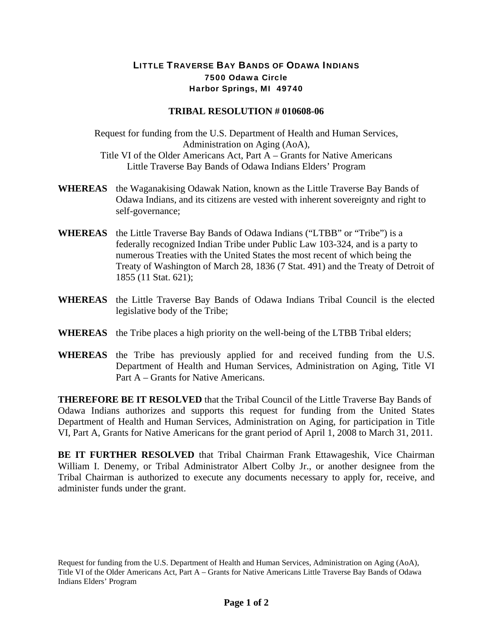## LITTLE TRAVERSE BAY BANDS OF ODAWA INDIANS 7500 Odawa Circle Harbor Springs, MI 49740

## **TRIBAL RESOLUTION # 010608-06**

Request for funding from the U.S. Department of Health and Human Services, Administration on Aging (AoA), Title VI of the Older Americans Act, Part A – Grants for Native Americans Little Traverse Bay Bands of Odawa Indians Elders' Program

- **WHEREAS** the Waganakising Odawak Nation, known as the Little Traverse Bay Bands of Odawa Indians, and its citizens are vested with inherent sovereignty and right to self-governance;
- **WHEREAS** the Little Traverse Bay Bands of Odawa Indians ("LTBB" or "Tribe") is a federally recognized Indian Tribe under Public Law 103-324, and is a party to numerous Treaties with the United States the most recent of which being the Treaty of Washington of March 28, 1836 (7 Stat. 491) and the Treaty of Detroit of 1855 (11 Stat. 621);
- **WHEREAS** the Little Traverse Bay Bands of Odawa Indians Tribal Council is the elected legislative body of the Tribe;
- **WHEREAS** the Tribe places a high priority on the well-being of the LTBB Tribal elders;
- **WHEREAS** the Tribe has previously applied for and received funding from the U.S. Department of Health and Human Services, Administration on Aging, Title VI Part A – Grants for Native Americans.

**THEREFORE BE IT RESOLVED** that the Tribal Council of the Little Traverse Bay Bands of Odawa Indians authorizes and supports this request for funding from the United States Department of Health and Human Services, Administration on Aging, for participation in Title VI, Part A, Grants for Native Americans for the grant period of April 1, 2008 to March 31, 2011.

**BE IT FURTHER RESOLVED** that Tribal Chairman Frank Ettawageshik, Vice Chairman William I. Denemy, or Tribal Administrator Albert Colby Jr., or another designee from the Tribal Chairman is authorized to execute any documents necessary to apply for, receive, and administer funds under the grant.

Request for funding from the U.S. Department of Health and Human Services, Administration on Aging (AoA), Title VI of the Older Americans Act, Part A – Grants for Native Americans Little Traverse Bay Bands of Odawa Indians Elders' Program